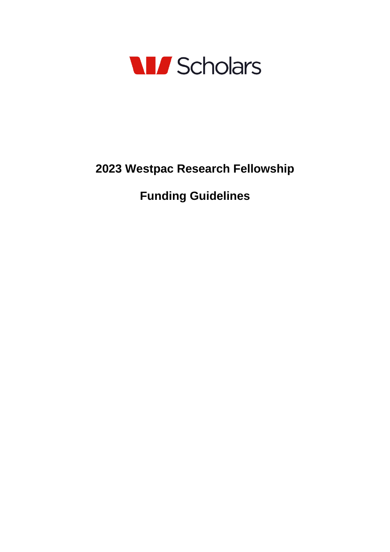

# **2023 Westpac Research Fellowship**

**Funding Guidelines**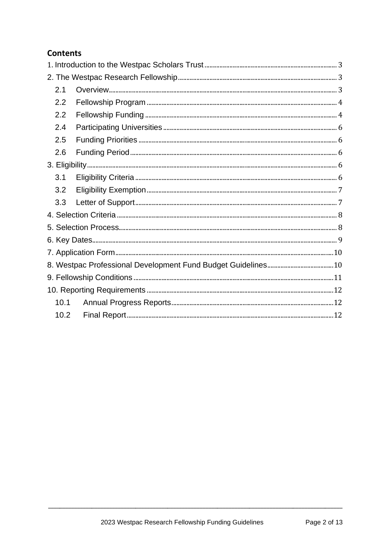# **Contents**

| 2.1               |  |
|-------------------|--|
| 2.2               |  |
| 2.2               |  |
| 2.4               |  |
| 2.5               |  |
| 2.6               |  |
|                   |  |
| 3.1               |  |
| 3.2               |  |
| 3.3               |  |
|                   |  |
|                   |  |
|                   |  |
|                   |  |
|                   |  |
|                   |  |
|                   |  |
| 10.1              |  |
| 10.2 <sub>1</sub> |  |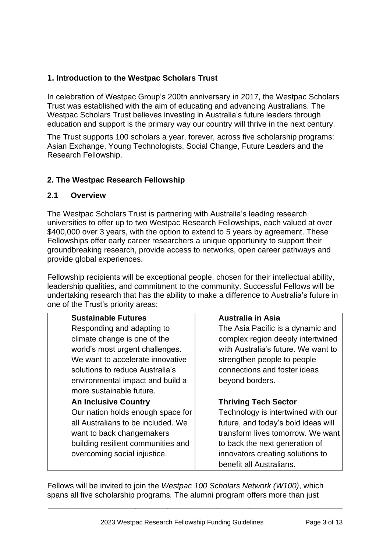# <span id="page-2-0"></span>**1. Introduction to the Westpac Scholars Trust**

<span id="page-2-1"></span>In celebration of Westpac Group's 200th anniversary in 2017, the Westpac Scholars Trust was established with the aim of educating and advancing Australians. The Westpac Scholars Trust believes investing in Australia's future leaders through education and support is the primary way our country will thrive in the next century.

The Trust supports 100 scholars a year, forever, across five scholarship programs: Asian Exchange, Young Technologists, Social Change, Future Leaders and the Research Fellowship.

#### **2. The Westpac Research Fellowship**

#### <span id="page-2-2"></span>**2.1 Overview**

The Westpac Scholars Trust is partnering with Australia's leading research universities to offer up to two Westpac Research Fellowships, each valued at over \$400,000 over 3 years, with the option to extend to 5 years by agreement. These Fellowships offer early career researchers a unique opportunity to support their groundbreaking research, provide access to networks, open career pathways and provide global experiences.

Fellowship recipients will be exceptional people, chosen for their intellectual ability, leadership qualities, and commitment to the community. Successful Fellows will be undertaking research that has the ability to make a difference to Australia's future in one of the Trust's priority areas:

| <b>Sustainable Futures</b>         | <b>Australia in Asia</b>            |
|------------------------------------|-------------------------------------|
| Responding and adapting to         | The Asia Pacific is a dynamic and   |
| climate change is one of the       | complex region deeply intertwined   |
| world's most urgent challenges.    | with Australia's future. We want to |
| We want to accelerate innovative   | strengthen people to people         |
| solutions to reduce Australia's    | connections and foster ideas        |
| environmental impact and build a   | beyond borders.                     |
| more sustainable future.           |                                     |
| <b>An Inclusive Country</b>        | <b>Thriving Tech Sector</b>         |
| Our nation holds enough space for  | Technology is intertwined with our  |
| all Australians to be included. We | future, and today's bold ideas will |
| want to back changemakers          | transform lives tomorrow. We want   |
| building resilient communities and | to back the next generation of      |
| overcoming social injustice.       | innovators creating solutions to    |
|                                    | benefit all Australians.            |

Fellows will be invited to join the *Westpac 100 Scholars Network (W100)*, which spans all five scholarship programs*.* The alumni program offers more than just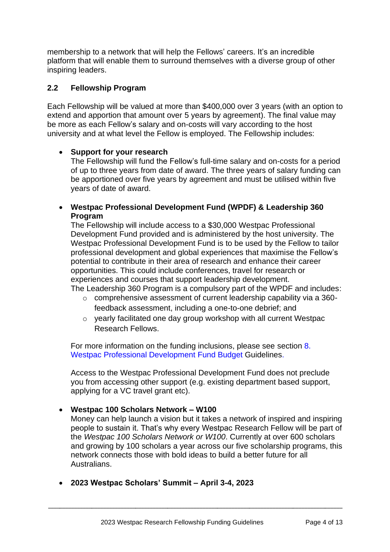membership to a network that will help the Fellows' careers. It's an incredible platform that will enable them to surround themselves with a diverse group of other inspiring leaders.

# <span id="page-3-0"></span>**2.2 Fellowship Program**

Each Fellowship will be valued at more than \$400,000 over 3 years (with an option to extend and apportion that amount over 5 years by agreement). The final value may be more as each Fellow's salary and on-costs will vary according to the host university and at what level the Fellow is employed. The Fellowship includes:

#### • **Support for your research**

The Fellowship will fund the Fellow's full-time salary and on-costs for a period of up to three years from date of award. The three years of salary funding can be apportioned over five years by agreement and must be utilised within five years of date of award.

• **Westpac Professional Development Fund (WPDF) & Leadership 360 Program**

The Fellowship will include access to a \$30,000 Westpac Professional Development Fund provided and is administered by the host university. The Westpac Professional Development Fund is to be used by the Fellow to tailor professional development and global experiences that maximise the Fellow's potential to contribute in their area of research and enhance their career opportunities. This could include conferences, travel for research or experiences and courses that support leadership development.

The Leadership 360 Program is a compulsory part of the WPDF and includes:

- o comprehensive assessment of current leadership capability via a 360 feedback assessment, including a one-to-one debrief; and
- o yearly facilitated one day group workshop with all current Westpac Research Fellows.

For more information on the funding inclusions, please see section [8.](#page-9-1)  [Westpac Professional Development](#page-9-1) Fund Budget Guidelines.

Access to the Westpac Professional Development Fund does not preclude you from accessing other support (e.g. existing department based support, applying for a VC travel grant etc).

# • **Westpac 100 Scholars Network – W100**

Money can help launch a vision but it takes a network of inspired and inspiring people to sustain it. That's why every Westpac Research Fellow will be part of the *Westpac 100 Scholars Network or W100*. Currently at over 600 scholars and growing by 100 scholars a year across our five scholarship programs, this network connects those with bold ideas to build a better future for all Australians.

• **2023 Westpac Scholars' Summit – April 3-4, 2023**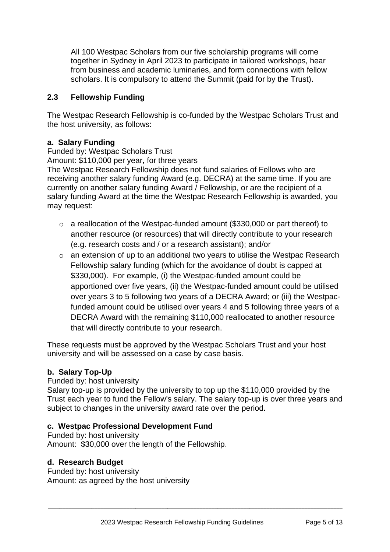All 100 Westpac Scholars from our five scholarship programs will come together in Sydney in April 2023 to participate in tailored workshops, hear from business and academic luminaries, and form connections with fellow scholars. It is compulsory to attend the Summit (paid for by the Trust).

# **2.3 Fellowship Funding**

The Westpac Research Fellowship is co-funded by the Westpac Scholars Trust and the host university, as follows:

# **a. Salary Funding**

Funded by: Westpac Scholars Trust

Amount: \$110,000 per year, for three years

The Westpac Research Fellowship does not fund salaries of Fellows who are receiving another salary funding Award (e.g. DECRA) at the same time. If you are currently on another salary funding Award / Fellowship, or are the recipient of a salary funding Award at the time the Westpac Research Fellowship is awarded, you may request:

- o a reallocation of the Westpac-funded amount (\$330,000 or part thereof) to another resource (or resources) that will directly contribute to your research (e.g. research costs and / or a research assistant); and/or
- o an extension of up to an additional two years to utilise the Westpac Research Fellowship salary funding (which for the avoidance of doubt is capped at \$330,000). For example, (i) the Westpac-funded amount could be apportioned over five years, (ii) the Westpac-funded amount could be utilised over years 3 to 5 following two years of a DECRA Award; or (iii) the Westpacfunded amount could be utilised over years 4 and 5 following three years of a DECRA Award with the remaining \$110,000 reallocated to another resource that will directly contribute to your research.

These requests must be approved by the Westpac Scholars Trust and your host university and will be assessed on a case by case basis.

# **b. Salary Top-Up**

Funded by: host university

Salary top-up is provided by the university to top up the \$110,000 provided by the Trust each year to fund the Fellow's salary. The salary top-up is over three years and subject to changes in the university award rate over the period.

# **c. Westpac Professional Development Fund**

Funded by: host university Amount: \$30,000 over the length of the Fellowship.

# **d. Research Budget**

Funded by: host university Amount: as agreed by the host university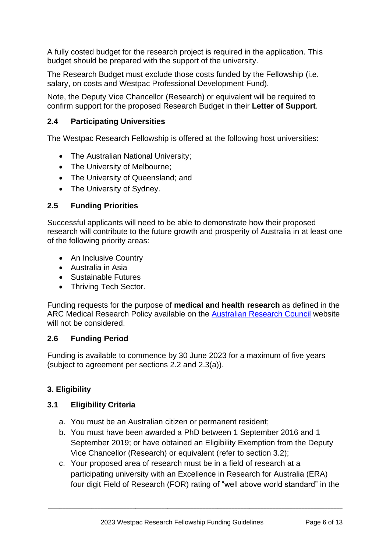A fully costed budget for the research project is required in the application. This budget should be prepared with the support of the university.

The Research Budget must exclude those costs funded by the Fellowship (i.e. salary, on costs and Westpac Professional Development Fund).

Note, the Deputy Vice Chancellor (Research) or equivalent will be required to confirm support for the proposed Research Budget in their **Letter of Support**.

# <span id="page-5-0"></span>**2.4 Participating Universities**

The Westpac Research Fellowship is offered at the following host universities:

- The Australian National University;
- The University of Melbourne;
- The University of Queensland; and
- The University of Sydney.

# <span id="page-5-1"></span>**2.5 Funding Priorities**

Successful applicants will need to be able to demonstrate how their proposed research will contribute to the future growth and prosperity of Australia in at least one of the following priority areas:

- An Inclusive Country
- Australia in Asia
- Sustainable Futures
- Thriving Tech Sector.

Funding requests for the purpose of **medical and health research** as defined in the ARC Medical Research Policy available on the [Australian Research Council](http://www.arc.gov.au/arc-medical-research-policy) website will not be considered.

# <span id="page-5-2"></span>**2.6 Funding Period**

Funding is available to commence by 30 June 2023 for a maximum of five years (subject to agreement per sections 2.2 and 2.3(a)).

# <span id="page-5-3"></span>**3. Eligibility**

# <span id="page-5-4"></span>**3.1 Eligibility Criteria**

- a. You must be an Australian citizen or permanent resident;
- b. You must have been awarded a PhD between 1 September 2016 and 1 September 2019; or have obtained an Eligibility Exemption from the Deputy Vice Chancellor (Research) or equivalent (refer to section 3.2);
- c. Your proposed area of research must be in a field of research at a participating university with an Excellence in Research for Australia (ERA) four digit Field of Research (FOR) rating of "well above world standard" in the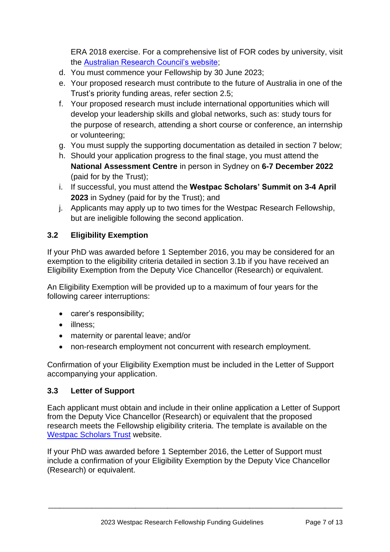ERA 2018 exercise. For a comprehensive list of FOR codes by university, visit the [Australian Research Council's website;](https://dataportal.arc.gov.au/ERA/Web/Outcomes)

- d. You must commence your Fellowship by 30 June 2023;
- e. Your proposed research must contribute to the future of Australia in one of the Trust's priority funding areas, refer section 2.5;
- f. Your proposed research must include international opportunities which will develop your leadership skills and global networks, such as: study tours for the purpose of research, attending a short course or conference, an internship or volunteering;
- g. You must supply the supporting documentation as detailed in section 7 below;
- h. Should your application progress to the final stage, you must attend the **National Assessment Centre** in person in Sydney on **6-7 December 2022** (paid for by the Trust);
- i. If successful, you must attend the **Westpac Scholars' Summit on 3-4 April 2023** in Sydney (paid for by the Trust); and
- j. Applicants may apply up to two times for the Westpac Research Fellowship, but are ineligible following the second application.

# **3.2 Eligibility Exemption**

If your PhD was awarded before 1 September 2016, you may be considered for an exemption to the eligibility criteria detailed in section 3.1b if you have received an Eligibility Exemption from the Deputy Vice Chancellor (Research) or equivalent.

An Eligibility Exemption will be provided up to a maximum of four years for the following career interruptions:

- carer's responsibility;
- illness:
- maternity or parental leave; and/or
- non-research employment not concurrent with research employment.

Confirmation of your Eligibility Exemption must be included in the Letter of Support accompanying your application.

#### <span id="page-6-0"></span>**3.3 Letter of Support**

Each applicant must obtain and include in their online application a Letter of Support from the Deputy Vice Chancellor (Research) or equivalent that the proposed research meets the Fellowship eligibility criteria. The template is available on the [Westpac Scholars](https://scholars.westpacgroup.com.au/scholarships/research-fellowship/) Trust website.

If your PhD was awarded before 1 September 2016, the Letter of Support must include a confirmation of your Eligibility Exemption by the Deputy Vice Chancellor (Research) or equivalent.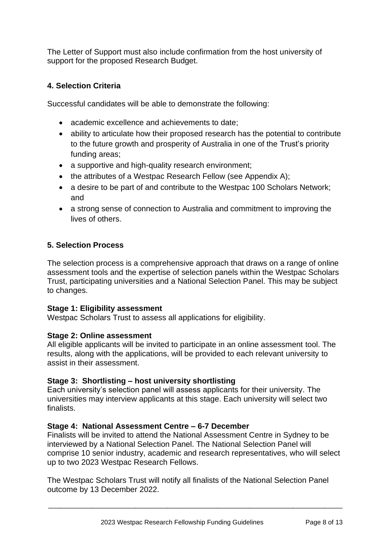The Letter of Support must also include confirmation from the host university of support for the proposed Research Budget.

# <span id="page-7-0"></span>**4. Selection Criteria**

Successful candidates will be able to demonstrate the following:

- academic excellence and achievements to date;
- ability to articulate how their proposed research has the potential to contribute to the future growth and prosperity of Australia in one of the Trust's priority funding areas;
- a supportive and high-quality research environment;
- the attributes of a Westpac Research Fellow (see Appendix A);
- a desire to be part of and contribute to the Westpac 100 Scholars Network; and
- a strong sense of connection to Australia and commitment to improving the lives of others.

# <span id="page-7-1"></span>**5. Selection Process**

The selection process is a comprehensive approach that draws on a range of online assessment tools and the expertise of selection panels within the Westpac Scholars Trust, participating universities and a National Selection Panel. This may be subject to changes.

#### **Stage 1: Eligibility assessment**

Westpac Scholars Trust to assess all applications for eligibility.

#### **Stage 2: Online assessment**

All eligible applicants will be invited to participate in an online assessment tool. The results, along with the applications, will be provided to each relevant university to assist in their assessment.

# **Stage 3: Shortlisting – host university shortlisting**

Each university's selection panel will assess applicants for their university. The universities may interview applicants at this stage. Each university will select two finalists.

# **Stage 4: National Assessment Centre – 6-7 December**

Finalists will be invited to attend the National Assessment Centre in Sydney to be interviewed by a National Selection Panel. The National Selection Panel will comprise 10 senior industry, academic and research representatives, who will select up to two 2023 Westpac Research Fellows.

The Westpac Scholars Trust will notify all finalists of the National Selection Panel outcome by 13 December 2022.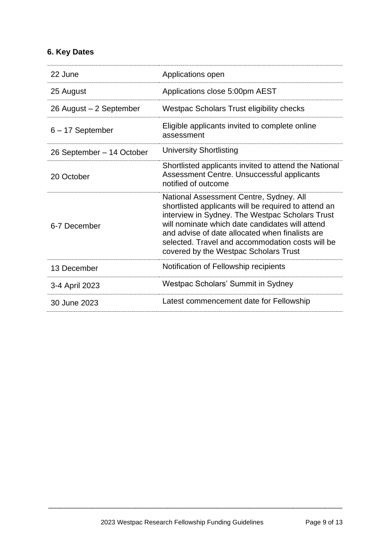# <span id="page-8-0"></span>**6. Key Dates**

| 22 June                   | Applications open                                                                                                                                                                                                                                                                                                                                     |
|---------------------------|-------------------------------------------------------------------------------------------------------------------------------------------------------------------------------------------------------------------------------------------------------------------------------------------------------------------------------------------------------|
| 25 August                 | Applications close 5:00pm AEST                                                                                                                                                                                                                                                                                                                        |
| 26 August – 2 September   | Westpac Scholars Trust eligibility checks                                                                                                                                                                                                                                                                                                             |
| $6 - 17$ September        | Eligible applicants invited to complete online<br>assessment                                                                                                                                                                                                                                                                                          |
| 26 September – 14 October | <b>University Shortlisting</b>                                                                                                                                                                                                                                                                                                                        |
| 20 October                | Shortlisted applicants invited to attend the National<br>Assessment Centre. Unsuccessful applicants<br>notified of outcome                                                                                                                                                                                                                            |
| 6-7 December              | National Assessment Centre, Sydney. All<br>shortlisted applicants will be required to attend an<br>interview in Sydney. The Westpac Scholars Trust<br>will nominate which date candidates will attend<br>and advise of date allocated when finalists are<br>selected. Travel and accommodation costs will be<br>covered by the Westpac Scholars Trust |
| 13 December               | Notification of Fellowship recipients                                                                                                                                                                                                                                                                                                                 |
| 3-4 April 2023            | Westpac Scholars' Summit in Sydney                                                                                                                                                                                                                                                                                                                    |
| 30 June 2023              | Latest commencement date for Fellowship                                                                                                                                                                                                                                                                                                               |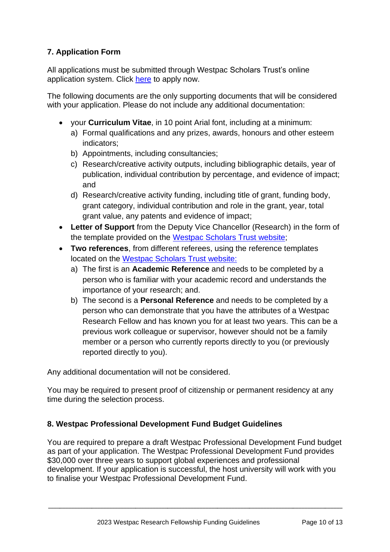# <span id="page-9-0"></span>**7. Application Form**

All applications must be submitted through Westpac Scholars Trust's online application system. Click [here](https://scholars.westpacgroup.com.au/scholarships/research-fellowship/) to apply now.

The following documents are the only supporting documents that will be considered with your application. Please do not include any additional documentation:

- your **Curriculum Vitae**, in 10 point Arial font, including at a minimum:
	- a) Formal qualifications and any prizes, awards, honours and other esteem indicators;
	- b) Appointments, including consultancies;
	- c) Research/creative activity outputs, including bibliographic details, year of publication, individual contribution by percentage, and evidence of impact; and
	- d) Research/creative activity funding, including title of grant, funding body, grant category, individual contribution and role in the grant, year, total grant value, any patents and evidence of impact;
- **Letter of Support** from the Deputy Vice Chancellor (Research) in the form of the template provided on the [Westpac Scholars Trust](https://scholars.westpacgroup.com.au/scholarships/research-fellowship/) website;
- **Two references**, from different referees, using the reference templates located on the [Westpac Scholars Trust](https://scholars.westpacgroup.com.au/scholarships/research-fellowship/) website:
	- a) The first is an **Academic Reference** and needs to be completed by a person who is familiar with your academic record and understands the importance of your research; and.
	- b) The second is a **Personal Reference** and needs to be completed by a person who can demonstrate that you have the attributes of a Westpac Research Fellow and has known you for at least two years. This can be a previous work colleague or supervisor, however should not be a family member or a person who currently reports directly to you (or previously reported directly to you).

Any additional documentation will not be considered.

You may be required to present proof of citizenship or permanent residency at any time during the selection process.

# <span id="page-9-1"></span>**8. Westpac Professional Development Fund Budget Guidelines**

You are required to prepare a draft Westpac Professional Development Fund budget as part of your application. The Westpac Professional Development Fund provides \$30,000 over three years to support global experiences and professional development. If your application is successful, the host university will work with you to finalise your Westpac Professional Development Fund.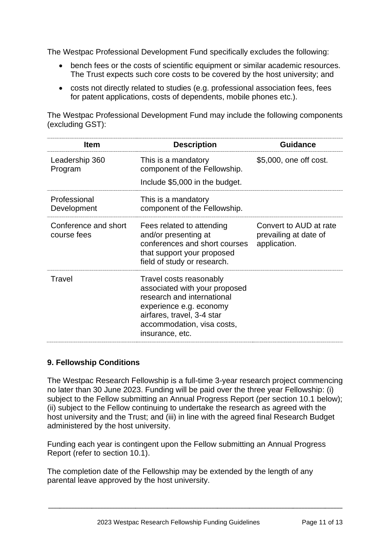The Westpac Professional Development Fund specifically excludes the following:

- bench fees or the costs of scientific equipment or similar academic resources. The Trust expects such core costs to be covered by the host university; and
- costs not directly related to studies (e.g. professional association fees, fees for patent applications, costs of dependents, mobile phones etc.).

The Westpac Professional Development Fund may include the following components (excluding GST):

| <b>Item</b>                         | <b>Description</b>                                                                                                                                                                               | <b>Guidance</b>                                                 |
|-------------------------------------|--------------------------------------------------------------------------------------------------------------------------------------------------------------------------------------------------|-----------------------------------------------------------------|
| Leadership 360<br>Program           | This is a mandatory<br>component of the Fellowship.<br>Include \$5,000 in the budget.                                                                                                            | \$5,000, one off cost.                                          |
| Professional<br>Development         | This is a mandatory<br>component of the Fellowship.                                                                                                                                              |                                                                 |
| Conference and short<br>course fees | Fees related to attending<br>and/or presenting at<br>conferences and short courses<br>that support your proposed<br>field of study or research.                                                  | Convert to AUD at rate<br>prevailing at date of<br>application. |
| Travel                              | Travel costs reasonably<br>associated with your proposed<br>research and international<br>experience e.g. economy<br>airfares, travel, 3-4 star<br>accommodation, visa costs,<br>insurance, etc. |                                                                 |

#### <span id="page-10-0"></span>**9. Fellowship Conditions**

The Westpac Research Fellowship is a full-time 3-year research project commencing no later than 30 June 2023. Funding will be paid over the three year Fellowship: (i) subject to the Fellow submitting an Annual Progress Report (per section 10.1 below): (ii) subject to the Fellow continuing to undertake the research as agreed with the host university and the Trust; and (iii) in line with the agreed final Research Budget administered by the host university.

Funding each year is contingent upon the Fellow submitting an Annual Progress Report (refer to section 10.1).

\_\_\_\_\_\_\_\_\_\_\_\_\_\_\_\_\_\_\_\_\_\_\_\_\_\_\_\_\_\_\_\_\_\_\_\_\_\_\_\_\_\_\_\_\_\_\_\_\_\_\_\_\_\_\_\_\_\_\_\_\_\_\_\_\_\_\_\_\_\_\_\_\_\_\_\_\_\_\_\_\_\_\_\_\_\_\_\_\_\_\_\_\_\_\_\_\_\_\_\_\_

The completion date of the Fellowship may be extended by the length of any parental leave approved by the host university.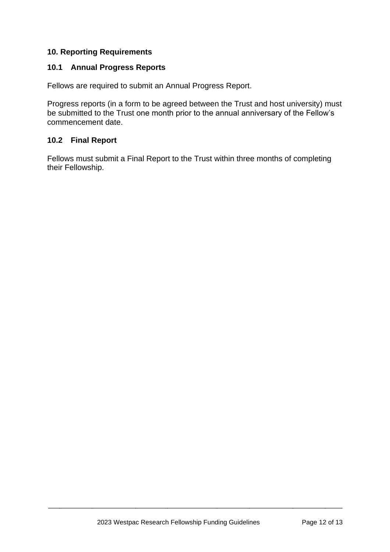# <span id="page-11-0"></span>**10. Reporting Requirements**

#### <span id="page-11-1"></span>**10.1 Annual Progress Reports**

Fellows are required to submit an Annual Progress Report.

Progress reports (in a form to be agreed between the Trust and host university) must be submitted to the Trust one month prior to the annual anniversary of the Fellow's commencement date.

#### <span id="page-11-2"></span>**10.2 Final Report**

Fellows must submit a Final Report to the Trust within three months of completing their Fellowship.